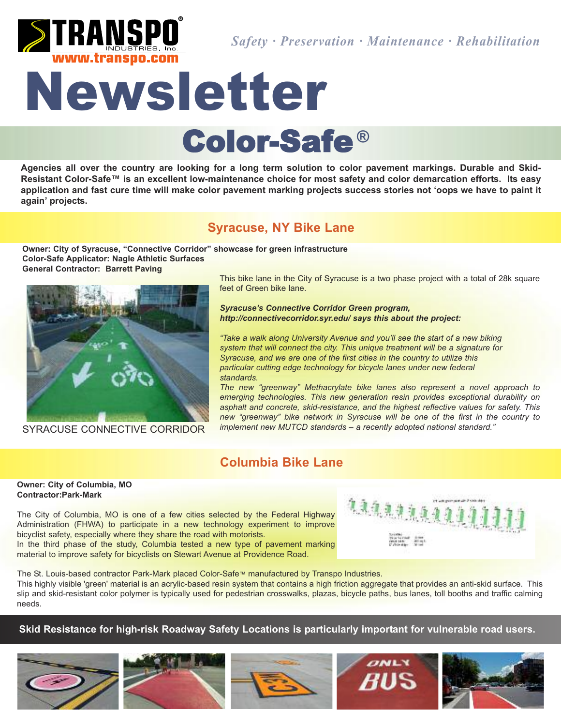

# Newsletter Color-Safe **®**

Agencies all over the country are looking for a long term solution to color pavement markings. Durable and Skid-Resistant Color-Safe™ is an excellent low-maintenance choice for most safety and color demarcation efforts. Its easy application and fast cure time will make color pavement marking projects success stories not 'oops we have to paint it **again' projects.**

## **Syracuse, NY Bike Lane**

**Owner: City of Syracuse, "Connective Corridor" showcase for green infrastructure Color-Safe Applicator: Nagle Athletic Surfaces General Contractor: Barrett Paving**



SYRACUSE CONNECTIVE CORRIDOR

This bike lane in the City of Syracuse is a two phase project with a total of 28k square feet of Green bike lane.

*Syracuse's Connective Corridor Green program, http://connectivecorridor.syr.edu/ says this about the project:*

*"Take a walk along University Avenue and you'll see the start of a new biking system that will connect the city. This unique treatment will be a signature for Syracuse, and we are one of the first cities in the country to utilize this particular cutting edge technology for bicycle lanes under new federal standards.*

*The new "greenway" Methacrylate bike lanes also represent a novel approach to emerging technologies. This new generation resin provides exceptional durability on asphalt and concrete, skid-resistance, and the highest reflective values for safety. This new "greenway" bike network in Syracuse will be one of the first in the country to implement new MUTCD standards – a recently adopted national standard."*

## **Columbia Bike Lane**

#### **Owner: City of Columbia, MO Contractor:Park-Mark**

The City of Columbia, MO is one of a few cities selected by the Federal Highway Administration (FHWA) to participate in a new technology experiment to improve bicyclist safety, especially where they share the road with motorists. In the third phase of the study, Columbia tested a new type of pavement marking material to improve safety for bicyclists on Stewart Avenue at Providence Road.



The St. Louis-based contractor Park-Mark placed Color-Safe™ manufactured by Transpo Industries. This highly visible 'green' material is an acrylic-based resin system that contains a high friction aggregate that provides an anti-skid surface. This slip and skid-resistant color polymer is typically used for pedestrian crosswalks, plazas, bicycle paths, bus lanes, toll booths and traffic calming needs.

**Skid Resistance for high-risk Roadway Safety Locations is particularly important for vulnerable road users.**